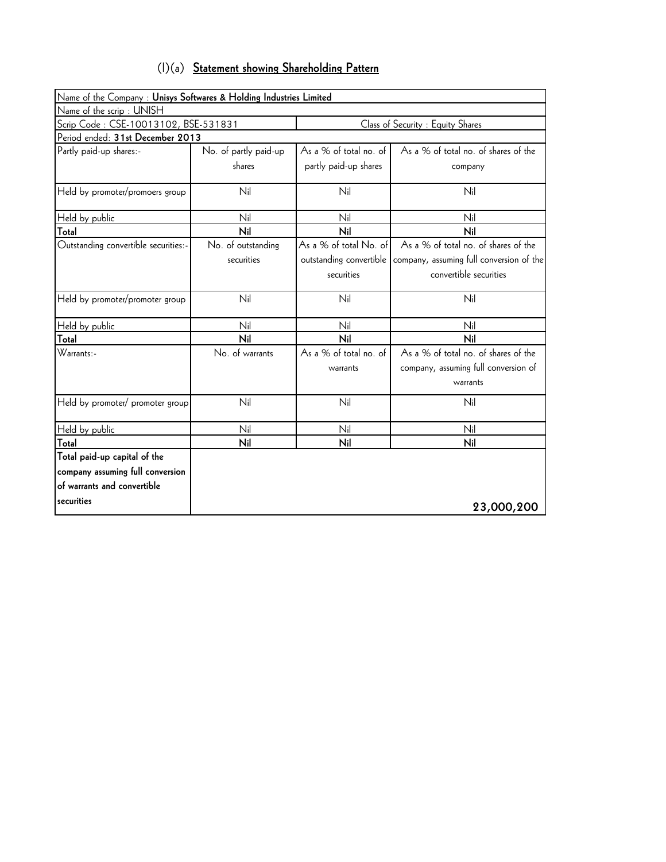| $(1)(a)$ Statement showing Shareholding Pattern |
|-------------------------------------------------|
|-------------------------------------------------|

| Name of the Company : Unisys Softwares & Holding Industries Limited |                       |                         |                                          |
|---------------------------------------------------------------------|-----------------------|-------------------------|------------------------------------------|
| Name of the scrip: UNISH                                            |                       |                         |                                          |
| Scrip Code: CSE-10013102, BSE-531831                                |                       |                         | Class of Security : Equity Shares        |
| Period ended: 31st December 2013                                    |                       |                         |                                          |
| Partly paid-up shares:-                                             | No. of partly paid-up | As a % of total no. of  | As a % of total no. of shares of the     |
|                                                                     | shares                | partly paid-up shares   | company                                  |
| Held by promoter/promoers group                                     | Nil                   | Nil                     | Nil                                      |
| Held by public                                                      | Nil                   | Nil                     | Nil                                      |
| Total                                                               | Nil                   | Nil                     | Nil                                      |
| Outstanding convertible securities:-                                | No. of outstanding    | As a % of total No. of  | As a % of total no. of shares of the     |
|                                                                     | securities            | outstanding convertible | company, assuming full conversion of the |
|                                                                     |                       | securities              | convertible securities                   |
| Held by promoter/promoter group                                     | Nil                   | Nil                     | Nil                                      |
| Held by public                                                      | Nil                   | Nil                     | Nil                                      |
| Total                                                               | Nil                   | Nil                     | Nil                                      |
| Warrants:-                                                          | No. of warrants       | As a % of total no. of  | As a % of total no. of shares of the     |
|                                                                     |                       | warrants                | company, assuming full conversion of     |
|                                                                     |                       |                         | warrants                                 |
| Held by promoter/ promoter group                                    | Nil                   | Nil                     | Nil                                      |
| Held by public                                                      | Nil                   | Nil                     | Nil                                      |
| Total                                                               | Nil                   | Nil                     | Nil                                      |
| Total paid-up capital of the                                        |                       |                         |                                          |
| company assuming full conversion                                    |                       |                         |                                          |
| of warrants and convertible                                         |                       |                         |                                          |
| securities                                                          |                       |                         | 23,000,200                               |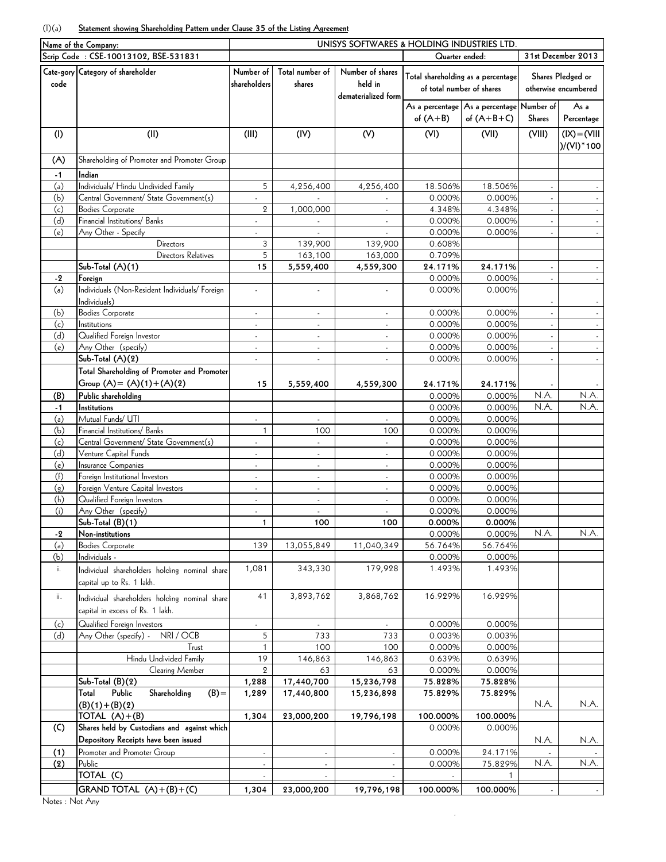## (I)(a) **Statement showing Shareholding Pattern under Clause 35 of the Listing Agreement**

|      | Name of the Company:                           | UNISYS SOFTWARES & HOLDING INDUSTRIES LTD. |                             |                             |                   |                                               |                    |                      |  |  |
|------|------------------------------------------------|--------------------------------------------|-----------------------------|-----------------------------|-------------------|-----------------------------------------------|--------------------|----------------------|--|--|
|      | Scrip Code: CSE-10013102, BSE-531831           |                                            |                             |                             | Quarter ended:    |                                               | 31st December 2013 |                      |  |  |
|      | Cate-gory Category of shareholder              | Number of                                  | Total number of             | Number of shares            |                   |                                               |                    |                      |  |  |
| code |                                                | shareholders                               | shares                      | held in                     |                   | Total shareholding as a percentage            |                    | Shares Pledged or    |  |  |
|      |                                                |                                            |                             | dematerialized form         |                   | of total number of shares                     |                    | otherwise encumbered |  |  |
|      |                                                |                                            |                             |                             |                   | As a percentage   As a percentage   Number of |                    | As a                 |  |  |
|      |                                                |                                            |                             |                             | of $(A+B)$        | of $(A+B+C)$                                  | <b>Shares</b>      | Percentage           |  |  |
|      |                                                |                                            |                             |                             |                   |                                               |                    |                      |  |  |
| (1)  | (II)                                           | (III)                                      | (IV)                        | (V)                         | (VI)              | (VII)                                         | (VIII)             | $(IX) = (VIII)$      |  |  |
|      |                                                |                                            |                             |                             |                   |                                               |                    | $)/(VI)^*100$        |  |  |
| (A)  | Shareholding of Promoter and Promoter Group    |                                            |                             |                             |                   |                                               |                    |                      |  |  |
| $-1$ | Indian                                         |                                            |                             |                             |                   |                                               |                    |                      |  |  |
| (a)  | Individuals/ Hindu Undivided Family            | 5                                          | 4,256,400                   | 4,256,400                   | 18.506%           | 18.506%                                       |                    |                      |  |  |
| (b)  | Central Government/ State Government(s)        |                                            |                             |                             | 0.000%            | 0.000%                                        |                    |                      |  |  |
| (c)  | <b>Bodies Corporate</b>                        | 2                                          | 1,000,000                   | $\overline{\phantom{a}}$    | 4.348%            | 4.348%                                        |                    |                      |  |  |
| (d)  | Financial Institutions/ Banks                  | ÷,                                         |                             | $\mathcal{L}_{\mathcal{A}}$ | 0.000%            | 0.000%                                        |                    |                      |  |  |
| (e)  | Any Other - Specify                            |                                            |                             |                             | 0.000%            | 0.000%                                        |                    |                      |  |  |
|      | Directors                                      | 3                                          | 139,900                     | 139,900                     | 0.608%            |                                               |                    |                      |  |  |
|      | Directors Relatives                            | 5                                          | 163,100                     | 163,000                     | 0.709%            |                                               |                    |                      |  |  |
|      | Sub-Total (A)(1)                               | 15                                         | 5,559,400                   | 4,559,300                   | 24.171%           | 24.171%                                       |                    |                      |  |  |
| $-2$ | Foreign                                        |                                            |                             |                             | 0.000%            | 0.000%                                        |                    |                      |  |  |
| (a)  | Individuals (Non-Resident Individuals/ Foreign | $\mathcal{L}$                              |                             |                             | 0.000%            | 0.000%                                        |                    |                      |  |  |
|      | Individuals)                                   |                                            |                             |                             |                   |                                               |                    |                      |  |  |
| (b)  | <b>Bodies Corporate</b>                        | ä,                                         | $\mathcal{L}_{\mathcal{A}}$ | $\blacksquare$              | 0.000%            | 0.000%                                        |                    |                      |  |  |
| (c)  | Institutions                                   |                                            |                             | ä,                          | 0.000%            | 0.000%                                        |                    |                      |  |  |
| (d)  | Qualified Foreign Investor                     |                                            |                             |                             | 0.000%            | 0.000%                                        | $\mathcal{L}$      | $\omega$             |  |  |
| (e)  | Any Other (specify)                            | $\blacksquare$                             | $\blacksquare$              | $\blacksquare$              | 0.000%            | 0.000%                                        | $\omega$           | $\omega$             |  |  |
|      | Sub-Total $(A)(2)$                             | ä,                                         | ä,                          | $\Box$                      | 0.000%            | 0.000%                                        |                    | $\omega_{\rm c}$     |  |  |
|      | Total Shareholding of Promoter and Promoter    |                                            |                             |                             |                   |                                               |                    |                      |  |  |
|      | Group $(A) = (A)(1) + (A)(2)$                  | 15                                         | 5,559,400                   | 4,559,300                   | 24.171%           | 24.171%                                       |                    |                      |  |  |
| (B)  | Public shareholding                            |                                            |                             |                             | 0.000%            | 0.000%                                        | N.A.               | N.A.                 |  |  |
| $-1$ | Institutions                                   |                                            |                             |                             | 0.000%            | 0.000%                                        | N.A.               | N.A.                 |  |  |
| (a)  | Mutual Funds/ UTI                              | ÷.                                         | $\omega$                    | $\blacksquare$              | 0.000%            | 0.000%                                        |                    |                      |  |  |
| (b)  | Financial Institutions/ Banks                  | $\mathbf{1}$                               | 100                         | 100                         | 0.000%            | 0.000%                                        |                    |                      |  |  |
| (c)  | Central Government/ State Government(s)        |                                            | ÷.                          | ä,                          | 0.000%            | 0.000%                                        |                    |                      |  |  |
| (d)  | Venture Capital Funds                          |                                            | ä,                          |                             | 0.000%            | 0.000%                                        |                    |                      |  |  |
| (e)  | <b>Insurance Companies</b>                     | $\overline{\phantom{a}}$                   | $\blacksquare$              | $\blacksquare$              | 0.000%            | 0.000%                                        |                    |                      |  |  |
| (f)  | Foreign Institutional Investors                | $\overline{\phantom{a}}$                   | $\blacksquare$              | $\blacksquare$              | 0.000%            | 0.000%                                        |                    |                      |  |  |
| (q)  | Foreign Venture Capital Investors              | ä,                                         | $\mathcal{L}_{\mathcal{A}}$ | ÷.                          | 0.000%            | 0.000%                                        |                    |                      |  |  |
| (h)  | Qualified Foreign Investors                    | ÷,                                         | L.                          | ä,                          | 0.000%            | 0.000%                                        |                    |                      |  |  |
| (i)  | Any Other (specify)                            | $\omega$                                   | $\omega$                    | $\mathcal{L}_{\mathcal{A}}$ | 0.000%            | 0.000%                                        |                    |                      |  |  |
|      | $Sub-Total (B)(1)$                             | $\mathbf{1}$                               | 100                         | 100                         | 0.000%            | 0.000%                                        |                    |                      |  |  |
| $-2$ | Non-institutions                               |                                            |                             |                             | 0.000%            | 0.000%                                        | N.A.               | N.A.                 |  |  |
| (a)  | <b>Bodies Corporate</b><br>Individuals -       | 139                                        | 13,055,849                  | 11,040,349                  | 56.764%<br>0.000% | 56.764%<br>0.000%                             |                    |                      |  |  |
| (b)  |                                                | 1,081                                      | 343,330                     | 179,928                     | 1.493%            | 1.493%                                        |                    |                      |  |  |
| i.   | Individual shareholders holding nominal share  |                                            |                             |                             |                   |                                               |                    |                      |  |  |
|      | capital up to Rs. 1 lakh.                      |                                            |                             |                             |                   |                                               |                    |                      |  |  |
| ii.  | Individual shareholders holding nominal share  | 41                                         | 3,893,762                   | 3,868,762                   | 16.929%           | 16.929%                                       |                    |                      |  |  |
|      | capital in excess of Rs. 1 lakh.               |                                            |                             |                             |                   |                                               |                    |                      |  |  |
| (c)  | Qualified Foreign Investors                    |                                            |                             |                             | 0.000%            | 0.000%                                        |                    |                      |  |  |
| (d)  | NRI / OCB<br>Any Other (specify) -             | 5                                          | 733                         | 733                         | 0.003%            | 0.003%                                        |                    |                      |  |  |
|      | Trust                                          | 1                                          | 100                         | 100                         | 0.000%            | 0.000%                                        |                    |                      |  |  |
|      | Hindu Undivided Family                         | 19                                         | 146,863                     | 146,863                     | 0.639%            | 0.639%                                        |                    |                      |  |  |
|      | Clearing Member                                | $\overline{2}$                             | 63                          | 63                          | 0.000%            | 0.000%                                        |                    |                      |  |  |
|      | Sub-Total (B)(2)                               | 1,288                                      | 17,440,700                  | 15,236,798                  | 75.828%           | 75.828%                                       |                    |                      |  |  |
|      | Public<br>Shareholding<br>$(B) =$<br>Total     | 1,289                                      | 17,440,800                  | 15,236,898                  | 75.829%           | 75.829%                                       |                    |                      |  |  |
|      | $(B)(1)+(B)(2)$                                |                                            |                             |                             |                   |                                               | N.A.               | N.A.                 |  |  |
|      | TOTAL $(A)+(B)$                                | 1,304                                      | 23,000,200                  | 19,796,198                  | 100.000%          | 100.000%                                      |                    |                      |  |  |
| (C)  | Shares held by Custodians and against which    |                                            |                             |                             | 0.000%            | 0.000%                                        |                    |                      |  |  |
|      | Depository Receipts have been issued           |                                            |                             |                             |                   |                                               | N.A.               | N.A.                 |  |  |
| (1)  | Promoter and Promoter Group                    | ä,                                         | $\overline{\phantom{a}}$    | $\overline{\phantom{a}}$    | 0.000%            | 24.171%                                       |                    |                      |  |  |
| (2)  | Public                                         |                                            |                             |                             | 0.000%            | 75.829%                                       | N.A.               | N.A.                 |  |  |
|      | TOTAL (C)                                      |                                            |                             |                             |                   |                                               |                    |                      |  |  |
|      | $GRAND$ TOTAL $(A)+(B)+(C)$                    | 1,304                                      | 23,000,200                  | 19,796,198                  | 100.000%          | 100.000%                                      |                    |                      |  |  |
|      |                                                |                                            |                             |                             |                   |                                               |                    |                      |  |  |

.

Notes : Not Any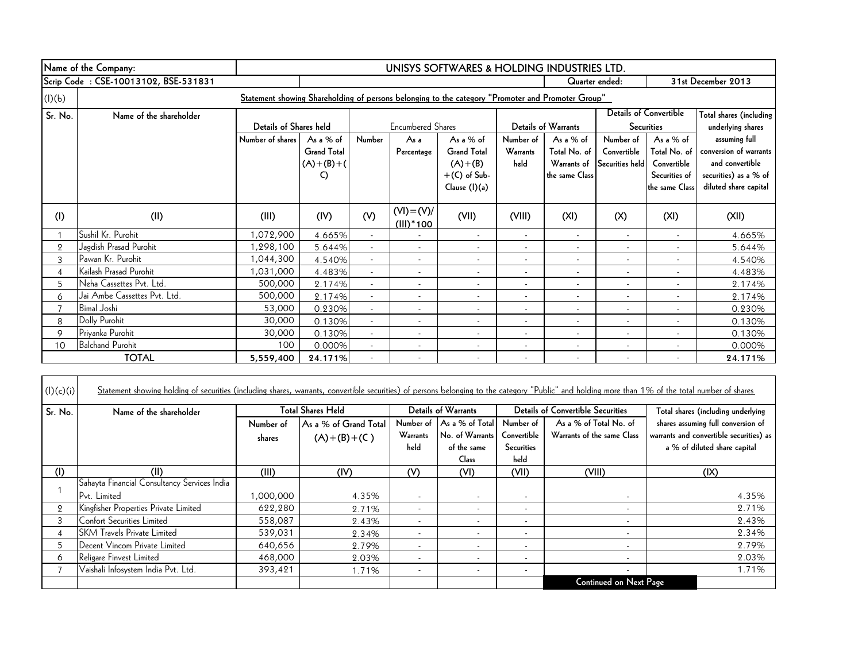|         | Name of the Company:                 | UNISYS SOFTWARES & HOLDING INDUSTRIES LTD.                                                        |                    |                          |                          |                          |                          |                          |                          |                               |                         |
|---------|--------------------------------------|---------------------------------------------------------------------------------------------------|--------------------|--------------------------|--------------------------|--------------------------|--------------------------|--------------------------|--------------------------|-------------------------------|-------------------------|
|         | Scrip Code: CSE-10013102, BSE-531831 |                                                                                                   |                    |                          |                          |                          |                          | Quarter ended:           |                          |                               | 31st December 2013      |
| (I)(b)  |                                      | Statement showing Shareholding of persons belonging to the category "Promoter and Promoter Group" |                    |                          |                          |                          |                          |                          |                          |                               |                         |
| Sr. No. | Name of the shareholder              |                                                                                                   |                    |                          |                          |                          |                          |                          |                          | <b>Details of Convertible</b> | Total shares (including |
|         |                                      | Details of Shares held                                                                            |                    |                          | <b>Encumbered Shares</b> |                          |                          | Details of Warrants      |                          | <b>Securities</b>             | underlying shares       |
|         |                                      | Number of shares                                                                                  | As a $%$ of        | Number                   | As a                     | As a $%$ of              | Number of                | As a % of                | Number of                | As a % of                     | assuming full           |
|         |                                      |                                                                                                   | <b>Grand Total</b> |                          | Percentage               | <b>Grand Total</b>       | Warrants                 | Total No. of             | Convertible              | Total No. of                  | conversion of warrants  |
|         |                                      |                                                                                                   | $(A)+(B)+(A)$      |                          |                          | $(A)+(B)$                | held                     | Warrants of              | Securities held          | Convertible                   | and convertible         |
|         |                                      |                                                                                                   | C)                 |                          |                          | $+(C)$ of Sub-           |                          | the same Class           |                          | Securities of                 | securities) as a % of   |
|         |                                      |                                                                                                   |                    |                          |                          | Clause (I)(a)            |                          |                          |                          | the same Class                | diluted share capital   |
| (1)     | (II)                                 | (III)                                                                                             | (IV)               | (V)                      | $(VI) = (V)/$            | (VII)                    | (VIII)                   | (XI)                     | (X)                      | (XI)                          | (XII)                   |
|         |                                      |                                                                                                   |                    |                          | $(III)^*$ 100            |                          |                          |                          |                          |                               |                         |
|         | Sushil Kr. Purohit                   | 1,072,900                                                                                         | 4.665%             | $\overline{\phantom{a}}$ |                          | $\overline{\phantom{a}}$ | $\overline{\phantom{a}}$ | $\overline{\phantom{a}}$ | $\overline{\phantom{a}}$ | $\overline{\phantom{a}}$      | 4.665%                  |
| 2       | Jagdish Prasad Purohit               | 1,298,100                                                                                         | 5.644%             |                          | $\overline{\phantom{a}}$ |                          |                          | $\overline{\phantom{a}}$ | $\overline{\phantom{a}}$ |                               | 5.644%                  |
| 3       | Pawan Kr. Purohit                    | 1,044,300                                                                                         | 4.540%             |                          |                          |                          |                          | $\overline{\phantom{a}}$ |                          |                               | 4.540%                  |
| 4       | Kailash Prasad Purohit               | 1,031,000                                                                                         | 4.483%             |                          | $\overline{\phantom{a}}$ |                          | $\overline{\phantom{a}}$ | $\overline{\phantom{a}}$ | $\overline{\phantom{a}}$ |                               | 4.483%                  |
| 5       | Neha Cassettes Pvt. Ltd.             | 500,000                                                                                           | 2.174%             | $\overline{\phantom{0}}$ |                          |                          |                          | $\overline{\phantom{a}}$ |                          |                               | 2.174%                  |
| 6       | Jai Ambe Cassettes Pvt. Ltd.         | 500,000                                                                                           | 2.174%             |                          |                          |                          | $\overline{a}$           | $\overline{\phantom{a}}$ |                          |                               | 2.174%                  |
|         | <b>Bimal Joshi</b>                   | 53,000                                                                                            | 0.230%             |                          |                          |                          | $\overline{a}$           | $\overline{\phantom{a}}$ |                          |                               | 0.230%                  |
| 8       | Dolly Purohit                        | 30,000                                                                                            | 0.130%             |                          | $\overline{\phantom{a}}$ |                          | $\overline{\phantom{a}}$ | $\overline{\phantom{a}}$ |                          |                               | 0.130%                  |
| 9       | Priyanka Purohit                     | 30,000                                                                                            | 0.130%             |                          | $\overline{\phantom{a}}$ |                          | $\overline{\phantom{a}}$ | $\overline{\phantom{a}}$ | $\overline{\phantom{a}}$ |                               | 0.130%                  |
| 10      | <b>Balchand Purohit</b>              | 100                                                                                               | 0.000%             |                          |                          |                          | $\overline{\phantom{a}}$ | $\overline{\phantom{a}}$ | $\overline{\phantom{a}}$ |                               | 0.000%                  |
|         | <b>TOTAL</b>                         | 5,559,400                                                                                         | 24.171%            |                          |                          |                          |                          |                          |                          |                               | 24.171%                 |

| (l)(c)(i)      | Statement showing holding of securities (including shares, warrants, convertible securities) of persons belonging to the category "Public" and holding more than 1% of the total number of shares |           |                          |                          |                            |                          |                                          |                                         |
|----------------|---------------------------------------------------------------------------------------------------------------------------------------------------------------------------------------------------|-----------|--------------------------|--------------------------|----------------------------|--------------------------|------------------------------------------|-----------------------------------------|
| Sr. No.        | Name of the shareholder                                                                                                                                                                           |           | <b>Total Shares Held</b> |                          | <b>Details of Warrants</b> |                          | <b>Details of Convertible Securities</b> | Total shares (including underlying      |
|                |                                                                                                                                                                                                   | Number of | As a % of Grand Total    | Number of                | As a % of Total            | Number of                | As a % of Total No. of                   | shares assuming full conversion of      |
|                |                                                                                                                                                                                                   | shares    | $(A)+(B)+(C)$            | Warrants                 | No. of Warrants            | Convertible              | Warrants of the same Class               | warrants and convertible securities) as |
|                |                                                                                                                                                                                                   |           |                          | held                     | of the same                | <b>Securities</b>        |                                          | a % of diluted share capital            |
|                |                                                                                                                                                                                                   |           |                          |                          | Class                      | held                     |                                          |                                         |
| (I)            | (II)                                                                                                                                                                                              | (III)     | (IV)                     | (V)                      | (VI)                       | (VII)                    | (VIII)                                   | $( X\rangle)$                           |
|                | Sahayta Financial Consultancy Services India                                                                                                                                                      |           |                          |                          |                            |                          |                                          |                                         |
|                | Pvt. Limited                                                                                                                                                                                      | 000,000,1 | 4.35%                    | $\overline{\phantom{a}}$ | $\overline{\phantom{a}}$   | $\overline{\phantom{a}}$ |                                          | 4.35%                                   |
| $\overline{2}$ | Kingfisher Properties Private Limited                                                                                                                                                             | 622,280   | 2.71%                    | $\overline{\phantom{0}}$ | $\overline{\phantom{a}}$   | $\overline{\phantom{a}}$ | $\overline{\phantom{a}}$                 | 2.71%                                   |
|                | Confort Securities Limited                                                                                                                                                                        | 558,087   | 2.43%                    | $\overline{\phantom{a}}$ | $\overline{\phantom{a}}$   | $\overline{\phantom{a}}$ | $\overline{\phantom{a}}$                 | 2.43%                                   |
|                | <b>SKM</b> Travels Private Limited                                                                                                                                                                | 539,031   | 2.34%                    | $\overline{\phantom{a}}$ | $\overline{\phantom{a}}$   | $\overline{\phantom{a}}$ | $\overline{\phantom{a}}$                 | 2.34%                                   |
| 5              | Decent Vincom Private Limited                                                                                                                                                                     | 640,656   | 2.79%                    | $\overline{\phantom{a}}$ | $\overline{\phantom{a}}$   | $\overline{\phantom{a}}$ |                                          | 2.79%                                   |
| 6              | Religare Finvest Limited                                                                                                                                                                          | 468,000   | 2.03%                    | $\overline{\phantom{a}}$ | $\overline{\phantom{a}}$   | $\overline{\phantom{a}}$ | $\overline{\phantom{a}}$                 | 2.03%                                   |
|                | Vaishali Infosystem India Pvt. Ltd.                                                                                                                                                               | 393,421   | 1.71%                    | $\overline{\phantom{a}}$ | $\overline{\phantom{a}}$   | $\overline{\phantom{a}}$ | $\overline{\phantom{a}}$                 | 1.71%                                   |
|                |                                                                                                                                                                                                   |           |                          |                          |                            |                          | <b>Continued on Next Page</b>            |                                         |

┑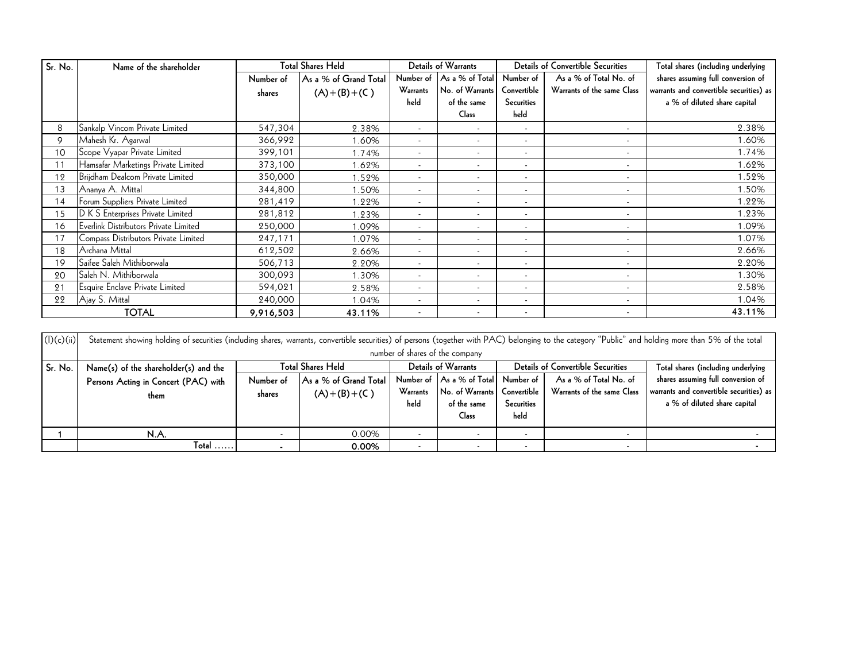| Sr. No. | Name of the shareholder               | <b>Total Shares Held</b> |                       | Details of Warrants      |                           |                          | <b>Details of Convertible Securities</b> | Total shares (including underlying      |
|---------|---------------------------------------|--------------------------|-----------------------|--------------------------|---------------------------|--------------------------|------------------------------------------|-----------------------------------------|
|         |                                       | Number of                | As a % of Grand Total |                          | Number of As a % of Total | Number of                | As a % of Total No. of                   | shares assuming full conversion of      |
|         |                                       | shares                   | $(A)+(B)+(C)$         | Warrants                 | No. of Warrants           | Convertible              | Warrants of the same Class               | warrants and convertible securities) as |
|         |                                       |                          |                       | held                     | of the same               | Securities               |                                          | a % of diluted share capital            |
|         |                                       |                          |                       |                          | Class                     | held                     |                                          |                                         |
| 8       | Sankalp Vincom Private Limited        | 547,304                  | 2.38%                 | $\overline{\phantom{a}}$ | $\blacksquare$            | $\overline{\phantom{a}}$ | $\overline{\phantom{a}}$                 | 2.38%                                   |
| 9       | Mahesh Kr. Agarwal                    | 366,992                  | 1.60%                 | $\overline{\phantom{a}}$ | $\overline{\phantom{a}}$  |                          | $\overline{\phantom{a}}$                 | 1.60%                                   |
| 10      | Scope Vyapar Private Limited          | 399,101                  | 1.74%                 | $\overline{\phantom{a}}$ | $\overline{\phantom{a}}$  | $\overline{\phantom{a}}$ | $\overline{\phantom{a}}$                 | 1.74%                                   |
| 11      | Hamsafar Marketings Private Limited   | 373,100                  | 1.62%                 | $\overline{\phantom{a}}$ | $\overline{\phantom{a}}$  | $\overline{\phantom{a}}$ | $\overline{\phantom{a}}$                 | 1.62%                                   |
| 12      | Brijdham Dealcom Private Limited      | 350,000                  | 1.52%                 | $\overline{\phantom{a}}$ | $\overline{\phantom{a}}$  | $\overline{\phantom{a}}$ | $\overline{\phantom{a}}$                 | 1.52%                                   |
| 13      | Ananya A. Mittal                      | 344,800                  | 1.50%                 | $\overline{\phantom{a}}$ | $\overline{\phantom{a}}$  | $\overline{\phantom{a}}$ | $\overline{\phantom{a}}$                 | 1.50%                                   |
| 14      | Forum Suppliers Private Limited       | 281,419                  | .22%                  | $\overline{\phantom{a}}$ | $\blacksquare$            | $\overline{\phantom{0}}$ | $\overline{\phantom{a}}$                 | 1.22%                                   |
| 15      | D K S Enterprises Private Limited     | 281,812                  | 1.23%                 | $\overline{\phantom{a}}$ | $\overline{\phantom{a}}$  |                          | $\overline{\phantom{a}}$                 | 1.23%                                   |
| 16      | Everlink Distributors Private Limited | 250,000                  | 1.09%                 | $\overline{\phantom{a}}$ | $\overline{\phantom{a}}$  | $\overline{\phantom{a}}$ | $\overline{\phantom{a}}$                 | 1.09%                                   |
| 17      | Compass Distributors Private Limited  | 247,171                  | 1.07%                 | $\overline{\phantom{a}}$ | $\overline{\phantom{a}}$  |                          | $\overline{\phantom{a}}$                 | 1.07%                                   |
| 18      | Archana Mittal                        | 612,502                  | 2.66%                 | $\overline{\phantom{a}}$ | $\overline{\phantom{a}}$  |                          |                                          | 2.66%                                   |
| 19      | Saifee Saleh Mithiborwala             | 506,713                  | 2.20%                 | $\overline{\phantom{a}}$ | $\overline{\phantom{a}}$  |                          | $\overline{\phantom{a}}$                 | 2.20%                                   |
| 20      | <b>Saleh N. Mithiborwala</b>          | 300,093                  | 1.30%                 | $\overline{\phantom{a}}$ | $\overline{\phantom{a}}$  |                          | $\overline{\phantom{a}}$                 | 1.30%                                   |
| 21      | Esquire Enclave Private Limited       | 594,021                  | 2.58%                 | $\overline{\phantom{a}}$ | $\overline{\phantom{a}}$  |                          | $\overline{\phantom{a}}$                 | 2.58%                                   |
| 22      | Ajay S. Mittal                        | 240,000                  | 1.04%                 | $\overline{\phantom{a}}$ | $\overline{\phantom{a}}$  |                          | $\overline{\phantom{a}}$                 | 1.04%                                   |
|         | <b>TOTAL</b>                          | 9,916,503                | 43.11%                | $\overline{\phantom{a}}$ | $\overline{\phantom{a}}$  | $\overline{\phantom{a}}$ | $\overline{\phantom{a}}$                 | 43.11%                                  |

| 21         | Esquire Enclave Private Limited                                                                                                                                                                      | 594,021                  | 2.58%                    | $\overline{\phantom{a}}$ | $\overline{\phantom{a}}$  |                          |                                   | 2.58%                                   |  |  |  |
|------------|------------------------------------------------------------------------------------------------------------------------------------------------------------------------------------------------------|--------------------------|--------------------------|--------------------------|---------------------------|--------------------------|-----------------------------------|-----------------------------------------|--|--|--|
| 22         | Ajay S. Mittal                                                                                                                                                                                       | 240,000                  | 1.04%                    |                          |                           |                          |                                   | 1.04%                                   |  |  |  |
|            | <b>TOTAL</b>                                                                                                                                                                                         | 9,916,503                | 43.11%                   |                          | $\overline{\phantom{a}}$  |                          |                                   | 43.11%                                  |  |  |  |
|            |                                                                                                                                                                                                      |                          |                          |                          |                           |                          |                                   |                                         |  |  |  |
| (l)(c)(ii) | Statement showing holding of securities (including shares, warrants, convertible securities) of persons (together with PAC) belonging to the category "Public" and holding more than 5% of the total |                          |                          |                          |                           |                          |                                   |                                         |  |  |  |
|            | number of shares of the company                                                                                                                                                                      |                          |                          |                          |                           |                          |                                   |                                         |  |  |  |
| Sr. No.    | Name(s) of the shareholder(s) and the                                                                                                                                                                |                          | <b>Total Shares Held</b> | Details of Warrants      |                           |                          | Details of Convertible Securities | Total shares (including underlying      |  |  |  |
|            | Persons Acting in Concert (PAC) with                                                                                                                                                                 | Number of                | As a % of Grand Total    |                          | Number of As a % of Total | Number of                | As a % of Total No. of            | shares assuming full conversion of      |  |  |  |
|            | them                                                                                                                                                                                                 | shares                   | $(A)+(B)+(C)$            | Warrants                 | No. of Warrants           | Convertible              | Warrants of the same Class        | warrants and convertible securities) as |  |  |  |
|            |                                                                                                                                                                                                      |                          |                          | held                     | of the same               | Securities               |                                   | a % of diluted share capital            |  |  |  |
|            |                                                                                                                                                                                                      |                          |                          |                          | <b>Class</b>              | held                     |                                   |                                         |  |  |  |
|            | N.A.                                                                                                                                                                                                 | $\overline{\phantom{0}}$ | 0.00%                    | $\overline{\phantom{a}}$ | $\overline{\phantom{a}}$  | $\overline{\phantom{0}}$ | $\overline{\phantom{a}}$          |                                         |  |  |  |
|            | $\sf Total$ $\ldots$ .                                                                                                                                                                               | $\blacksquare$           | 0.00%                    | $\overline{\phantom{a}}$ | $\overline{\phantom{a}}$  | $\overline{\phantom{a}}$ |                                   |                                         |  |  |  |